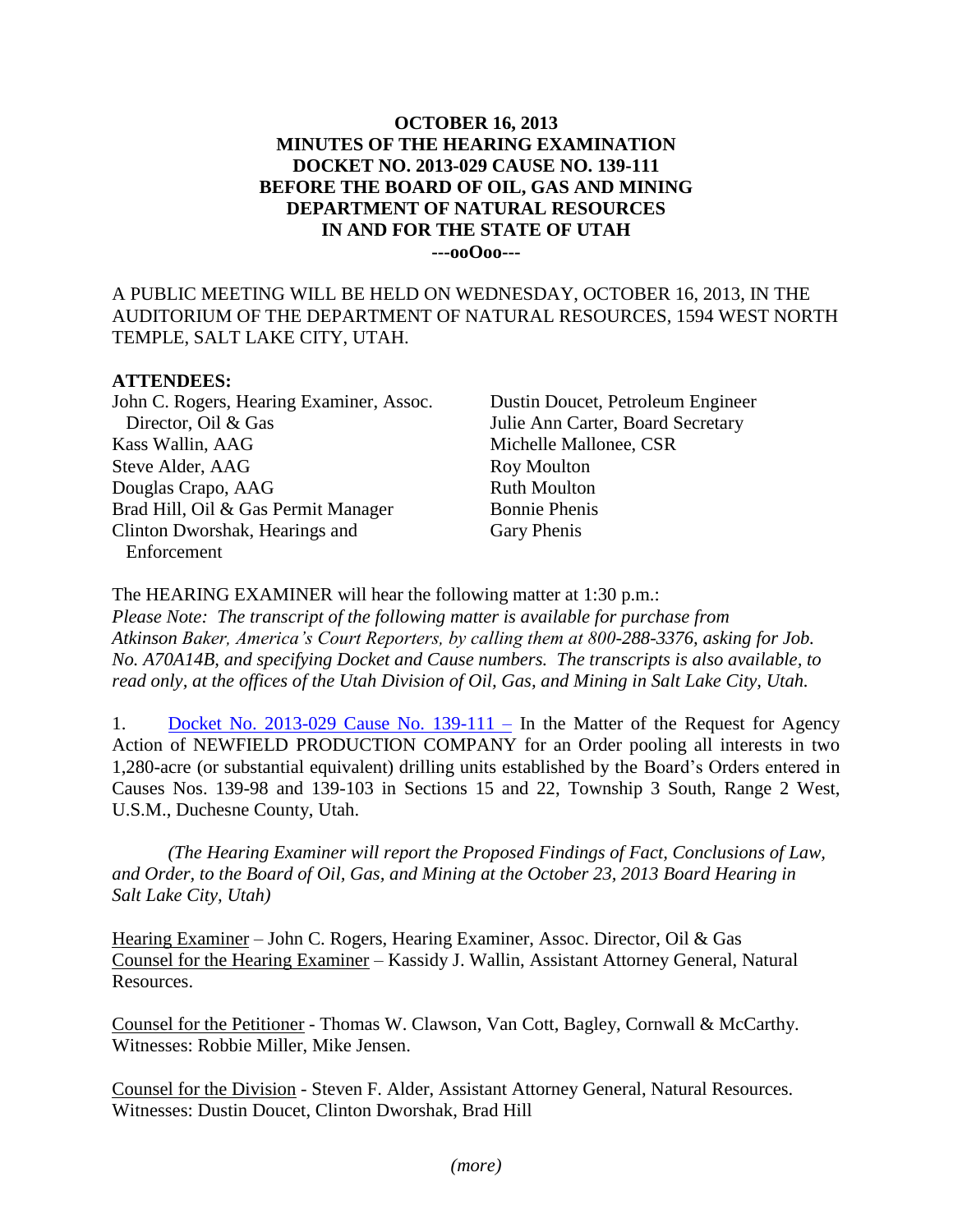## **OCTOBER 16, 2013 MINUTES OF THE HEARING EXAMINATION DOCKET NO. 2013-029 CAUSE NO. 139-111 BEFORE THE BOARD OF OIL, GAS AND MINING DEPARTMENT OF NATURAL RESOURCES IN AND FOR THE STATE OF UTAH ---ooOoo---**

A PUBLIC MEETING WILL BE HELD ON WEDNESDAY, OCTOBER 16, 2013, IN THE AUDITORIUM OF THE DEPARTMENT OF NATURAL RESOURCES, 1594 WEST NORTH TEMPLE, SALT LAKE CITY, UTAH.

## **ATTENDEES:**

John C. Rogers, Hearing Examiner, Assoc. Director, Oil & Gas Kass Wallin, AAG Steve Alder, AAG Douglas Crapo, AAG Brad Hill, Oil & Gas Permit Manager Clinton Dworshak, Hearings and Enforcement

Dustin Doucet, Petroleum Engineer Julie Ann Carter, Board Secretary Michelle Mallonee, CSR Roy Moulton Ruth Moulton Bonnie Phenis Gary Phenis

The HEARING EXAMINER will hear the following matter at 1:30 p.m.: *Please Note: The transcript of the following matter is available for purchase from Atkinson Baker, America's Court Reporters, by calling them at 800-288-3376, asking for Job. No. A70A14B, and specifying Docket and Cause numbers. The transcripts is also available, to read only, at the offices of the Utah Division of Oil, Gas, and Mining in Salt Lake City, Utah.*

1. [Docket No. 2013-029 Cause No. 139-111 –](https://fs.ogm.utah.gov/bbooks/2013/10_Oct/Dockets/2013-029_139-111_Newfield/) In the Matter of the Request for Agency Action of NEWFIELD PRODUCTION COMPANY for an Order pooling all interests in two 1,280-acre (or substantial equivalent) drilling units established by the Board's Orders entered in Causes Nos. 139-98 and 139-103 in Sections 15 and 22, Township 3 South, Range 2 West, U.S.M., Duchesne County, Utah.

*(The Hearing Examiner will report the Proposed Findings of Fact, Conclusions of Law, and Order, to the Board of Oil, Gas, and Mining at the October 23, 2013 Board Hearing in Salt Lake City, Utah)*

Hearing Examiner – John C. Rogers, Hearing Examiner, Assoc. Director, Oil & Gas Counsel for the Hearing Examiner – Kassidy J. Wallin, Assistant Attorney General, Natural Resources.

Counsel for the Petitioner - Thomas W. Clawson, Van Cott, Bagley, Cornwall & McCarthy. Witnesses: Robbie Miller, Mike Jensen.

Counsel for the Division - Steven F. Alder, Assistant Attorney General, Natural Resources. Witnesses: Dustin Doucet, Clinton Dworshak, Brad Hill